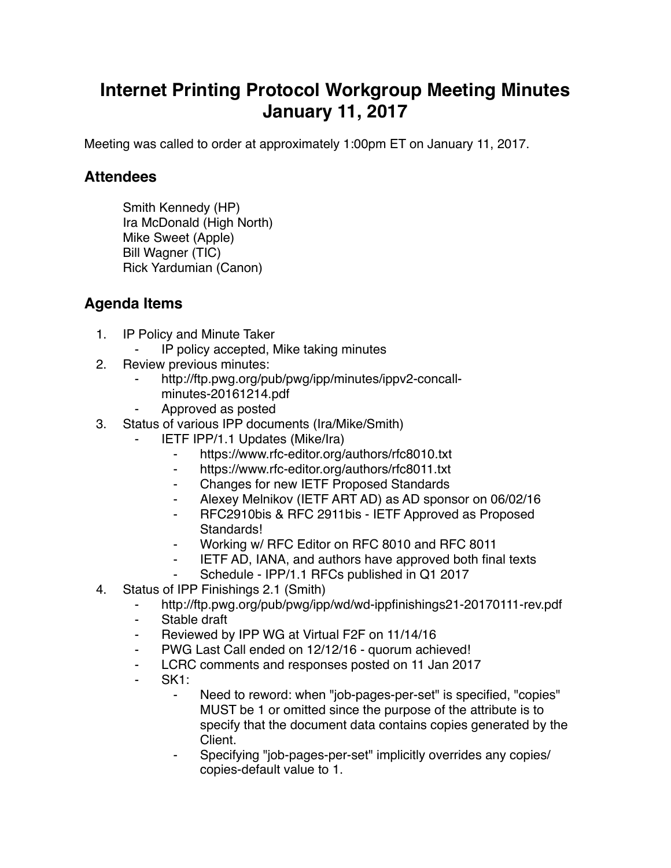## **Internet Printing Protocol Workgroup Meeting Minutes January 11, 2017**

Meeting was called to order at approximately 1:00pm ET on January 11, 2017.

## **Attendees**

Smith Kennedy (HP) Ira McDonald (High North) Mike Sweet (Apple) Bill Wagner (TIC) Rick Yardumian (Canon)

## **Agenda Items**

- 1. IP Policy and Minute Taker
	- ⁃ IP policy accepted, Mike taking minutes
- 2. Review previous minutes:
	- http://ftp.pwg.org/pub/pwg/ipp/minutes/ippv2-concallminutes-20161214.pdf
	- ⁃ Approved as posted
- 3. Status of various IPP documents (Ira/Mike/Smith)
	- **IETF IPP/1.1 Updates (Mike/Ira)** 
		- ⁃ https://www.rfc-editor.org/authors/rfc8010.txt
		- ⁃ https://www.rfc-editor.org/authors/rfc8011.txt
		- ⁃ Changes for new IETF Proposed Standards
		- ⁃ Alexey Melnikov (IETF ART AD) as AD sponsor on 06/02/16
		- ⁃ RFC2910bis & RFC 2911bis IETF Approved as Proposed Standards!
		- Working w/ RFC Editor on RFC 8010 and RFC 8011
		- ⁃ IETF AD, IANA, and authors have approved both final texts
		- Schedule IPP/1.1 RFCs published in Q1 2017
- 4. Status of IPP Finishings 2.1 (Smith)
	- ⁃ http://ftp.pwg.org/pub/pwg/ipp/wd/wd-ippfinishings21-20170111-rev.pdf
	- ⁃ Stable draft
	- Reviewed by IPP WG at Virtual F2F on 11/14/16
	- ⁃ PWG Last Call ended on 12/12/16 quorum achieved!
	- LCRC comments and responses posted on 11 Jan 2017
	- ⁃ SK1:
		- Need to reword: when "job-pages-per-set" is specified, "copies" MUST be 1 or omitted since the purpose of the attribute is to specify that the document data contains copies generated by the Client.
		- Specifying "job-pages-per-set" implicitly overrides any copies/ copies-default value to 1.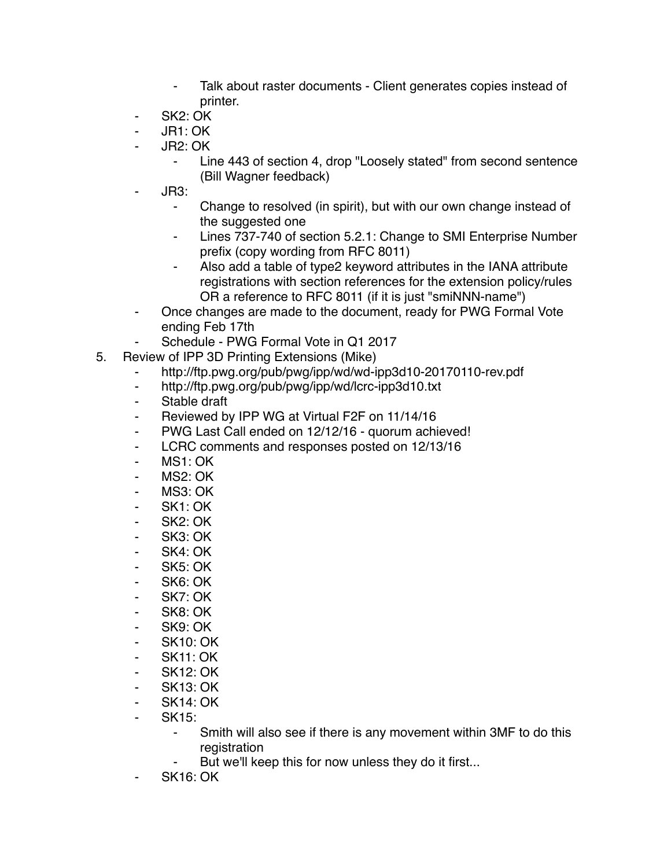- ⁃ Talk about raster documents Client generates copies instead of printer.
- SK<sub>2</sub>: OK
- ⁃ JR1: OK
- JR2: OK
	- Line 443 of section 4, drop "Loosely stated" from second sentence (Bill Wagner feedback)
- ⁃ JR3:
	- ⁃ Change to resolved (in spirit), but with our own change instead of the suggested one
	- Lines 737-740 of section 5.2.1: Change to SMI Enterprise Number prefix (copy wording from RFC 8011)
	- Also add a table of type2 keyword attributes in the IANA attribute registrations with section references for the extension policy/rules OR a reference to RFC 8011 (if it is just "smiNNN-name")
- Once changes are made to the document, ready for PWG Formal Vote ending Feb 17th
	- Schedule PWG Formal Vote in Q1 2017
- 5. Review of IPP 3D Printing Extensions (Mike)
	- http://ftp.pwg.org/pub/pwg/ipp/wd/wd-ipp3d10-20170110-rev.pdf
	- ⁃ http://ftp.pwg.org/pub/pwg/ipp/wd/lcrc-ipp3d10.txt
	- ⁃ Stable draft
	- Reviewed by IPP WG at Virtual F2F on 11/14/16
	- ⁃ PWG Last Call ended on 12/12/16 quorum achieved!
	- ⁃ LCRC comments and responses posted on 12/13/16
	- ⁃ MS1: OK
	- ⁃ MS2: OK
	- ⁃ MS3: OK
	- ⁃ SK1: OK
	- SK<sub>2</sub>: OK
	- ⁃ SK3: OK
	- ⁃ SK4: OK
	- SK5: OK
	- ⁃ SK6: OK
	- ⁃ SK7: OK
	- ⁃ SK8: OK
	- SK9: OK
	- ⁃ SK10: OK
	- **SK11: OK**
	- **SK12: OK**
	- ⁃ SK13: OK
	- ⁃ SK14: OK
	-
	- SK<sub>15</sub>:
		- ⁃ Smith will also see if there is any movement within 3MF to do this registration
		- But we'll keep this for now unless they do it first...
	- **SK16: OK**